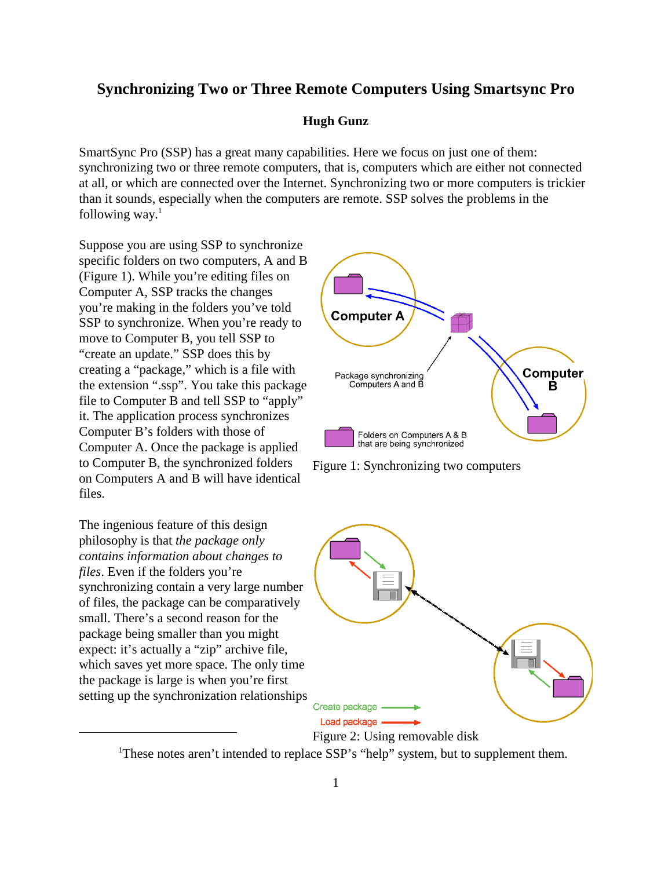# **Synchronizing Two or Three Remote Computers Using Smartsync Pro**

#### **Hugh Gunz**

SmartSync Pro (SSP) has a great many capabilities. Here we focus on just one of them: synchronizing two or three remote computers, that is, computers which are either not connected at all, or which are connected over the Internet. Synchronizing two or more computers is trickier than it sounds, especially when the computers are remote. SSP solves the problems in the following way. $1$ 

Suppose you are using SSP to synchronize specific folders on two computers, A and B (Figure 1). While you're editing files on Computer A, SSP tracks the changes you're making in the folders you've told SSP to synchronize. When you're ready to move to Computer B, you tell SSP to "create an update." SSP does this by creating a "package," which is a file with the extension ".ssp". You take this package file to Computer B and tell SSP to "apply" it. The application process synchronizes Computer B's folders with those of Computer A. Once the package is applied to Computer B, the synchronized folders on Computers A and B will have identical files.

The ingenious feature of this design philosophy is that *the package only contains information about changes to files*. Even if the folders you're synchronizing contain a very large number of files, the package can be comparatively small. There's a second reason for the package being smaller than you might expect: it's actually a "zip" archive file, which saves yet more space. The only time the package is large is when you're first setting up the synchronization relationships







Figure 2: Using removable disk

<sup>&</sup>lt;sup>1</sup>These notes aren't intended to replace SSP's "help" system, but to supplement them.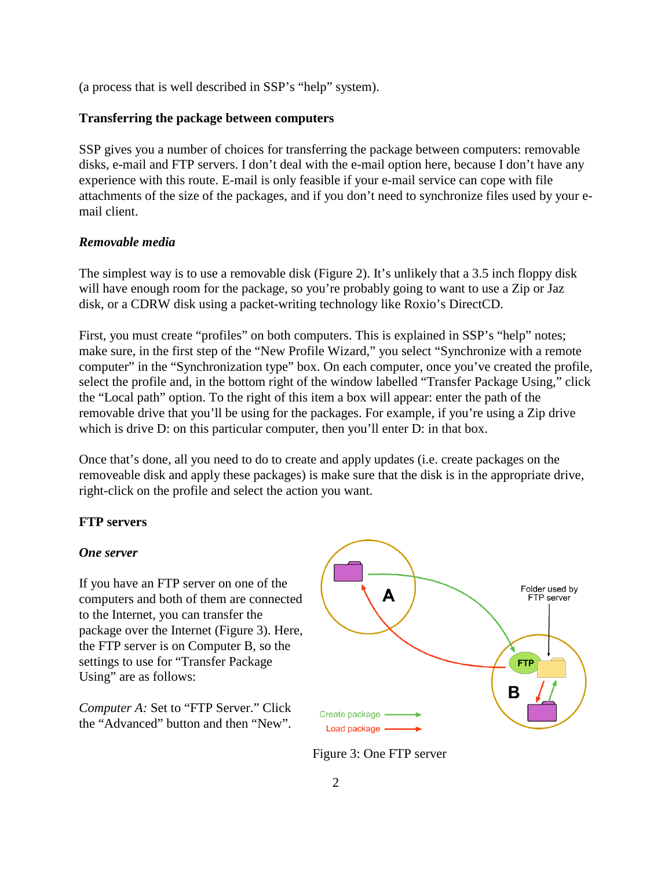(a process that is well described in SSP's "help" system).

# **Transferring the package between computers**

SSP gives you a number of choices for transferring the package between computers: removable disks, e-mail and FTP servers. I don't deal with the e-mail option here, because I don't have any experience with this route. E-mail is only feasible if your e-mail service can cope with file attachments of the size of the packages, and if you don't need to synchronize files used by your email client.

# *Removable media*

The simplest way is to use a removable disk (Figure 2). It's unlikely that a 3.5 inch floppy disk will have enough room for the package, so you're probably going to want to use a Zip or Jaz disk, or a CDRW disk using a packet-writing technology like Roxio's DirectCD.

First, you must create "profiles" on both computers. This is explained in SSP's "help" notes; make sure, in the first step of the "New Profile Wizard," you select "Synchronize with a remote computer" in the "Synchronization type" box. On each computer, once you've created the profile, select the profile and, in the bottom right of the window labelled "Transfer Package Using," click the "Local path" option. To the right of this item a box will appear: enter the path of the removable drive that you'll be using for the packages. For example, if you're using a Zip drive which is drive D: on this particular computer, then you'll enter D: in that box.

Once that's done, all you need to do to create and apply updates (i.e. create packages on the removeable disk and apply these packages) is make sure that the disk is in the appropriate drive, right-click on the profile and select the action you want.

# **FTP servers**

## *One server*

If you have an FTP server on one of the computers and both of them are connected to the Internet, you can transfer the package over the Internet (Figure 3). Here, the FTP server is on Computer B, so the settings to use for "Transfer Package Using" are as follows:

*Computer A:* Set to "FTP Server." Click the "Advanced" button and then "New".



Figure 3: One FTP server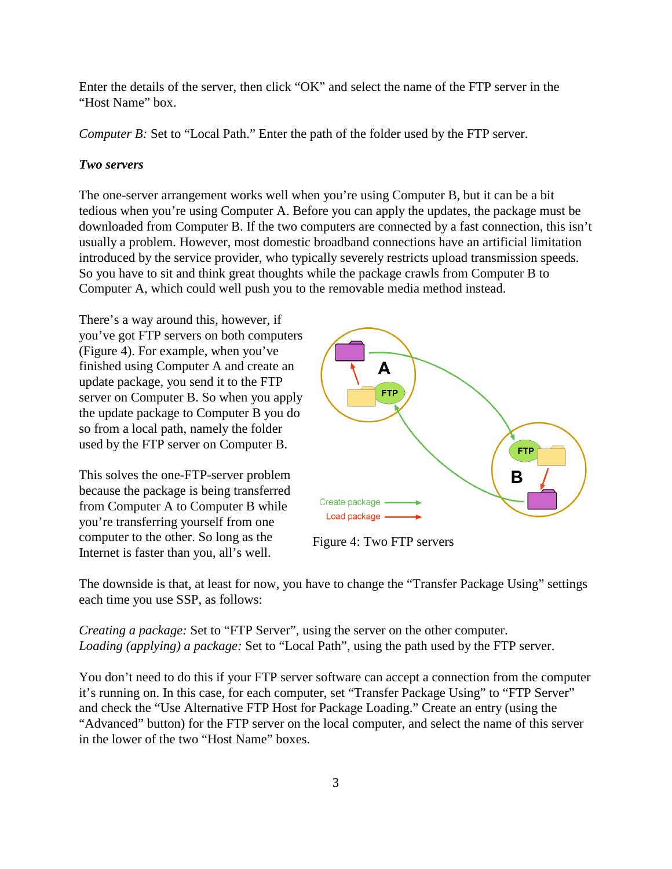Enter the details of the server, then click "OK" and select the name of the FTP server in the "Host Name" box.

*Computer B:* Set to "Local Path." Enter the path of the folder used by the FTP server.

# *Two servers*

The one-server arrangement works well when you're using Computer B, but it can be a bit tedious when you're using Computer A. Before you can apply the updates, the package must be downloaded from Computer B. If the two computers are connected by a fast connection, this isn't usually a problem. However, most domestic broadband connections have an artificial limitation introduced by the service provider, who typically severely restricts upload transmission speeds. So you have to sit and think great thoughts while the package crawls from Computer B to Computer A, which could well push you to the removable media method instead.

There's a way around this, however, if you've got FTP servers on both computers (Figure 4). For example, when you've finished using Computer A and create an update package, you send it to the FTP server on Computer B. So when you apply the update package to Computer B you do so from a local path, namely the folder used by the FTP server on Computer B.

This solves the one-FTP-server problem because the package is being transferred from Computer A to Computer B while you're transferring yourself from one computer to the other. So long as the Internet is faster than you, all's well.



Figure 4: Two FTP servers

The downside is that, at least for now, you have to change the "Transfer Package Using" settings each time you use SSP, as follows:

*Creating a package:* Set to "FTP Server", using the server on the other computer. *Loading (applying) a package:* Set to "Local Path", using the path used by the FTP server.

You don't need to do this if your FTP server software can accept a connection from the computer it's running on. In this case, for each computer, set "Transfer Package Using" to "FTP Server" and check the "Use Alternative FTP Host for Package Loading." Create an entry (using the "Advanced" button) for the FTP server on the local computer, and select the name of this server in the lower of the two "Host Name" boxes.